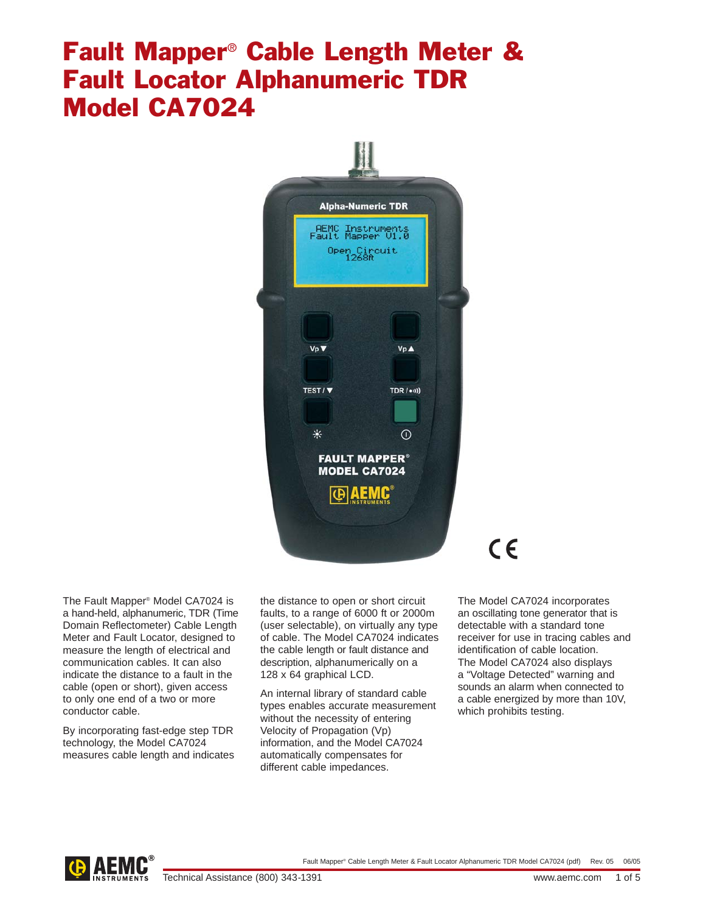# Fault Mapper® Cable Length Meter & Fault Locator Alphanumeric TDR Model CA7024



The Fault Mapper® Model CA7024 is a hand-held, alphanumeric, TDR (Time Domain Reflectometer) Cable Length Meter and Fault Locator, designed to measure the length of electrical and communication cables. It can also indicate the distance to a fault in the cable (open or short), given access to only one end of a two or more conductor cable.

By incorporating fast-edge step TDR technology, the Model CA7024 measures cable length and indicates the distance to open or short circuit faults, to a range of 6000 ft or 2000m (user selectable), on virtually any type of cable. The Model CA7024 indicates the cable length or fault distance and description, alphanumerically on a 128 x 64 graphical LCD.

An internal library of standard cable types enables accurate measurement without the necessity of entering Velocity of Propagation (Vp) information, and the Model CA7024 automatically compensates for different cable impedances.

# $\epsilon$

The Model CA7024 incorporates an oscillating tone generator that is detectable with a standard tone receiver for use in tracing cables and identification of cable location. The Model CA7024 also displays a "Voltage Detected" warning and sounds an alarm when connected to a cable energized by more than 10V, which prohibits testing.

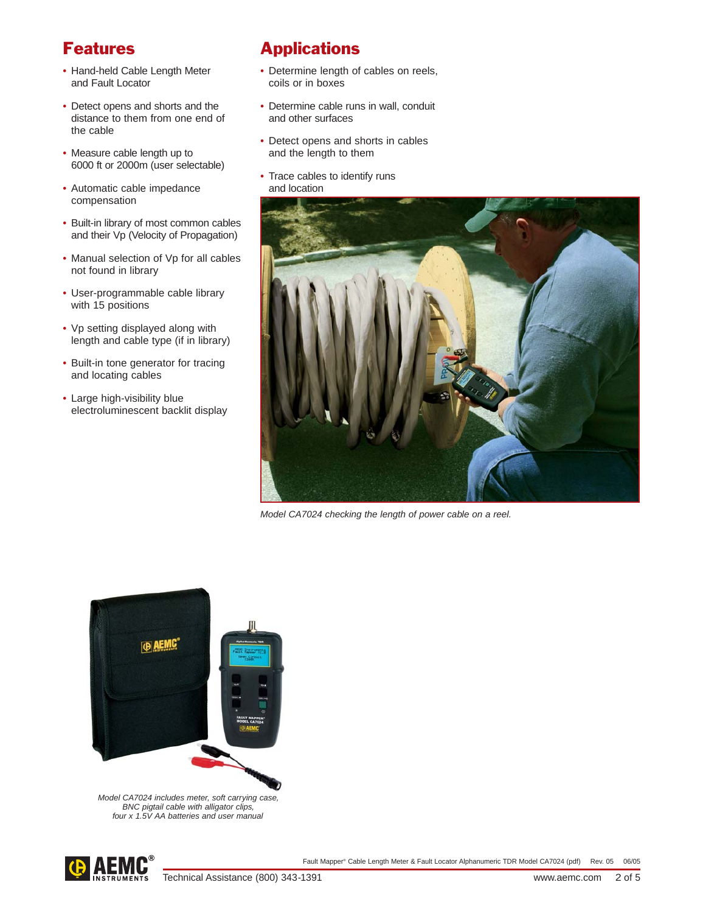### Features

- Hand-held Cable Length Meter and Fault Locator
- Detect opens and shorts and the distance to them from one end of the cable
- Measure cable length up to 6000 ft or 2000m (user selectable)
- Automatic cable impedance compensation
- Built-in library of most common cables and their Vp (Velocity of Propagation)
- Manual selection of Vp for all cables not found in library
- User-programmable cable library with 15 positions
- Vp setting displayed along with length and cable type (if in library)
- Built-in tone generator for tracing and locating cables
- Large high-visibility blue electroluminescent backlit display

## Applications

- Determine length of cables on reels, coils or in boxes
- Determine cable runs in wall, conduit and other surfaces
- Detect opens and shorts in cables and the length to them
- Trace cables to identify runs and location



Model CA7024 checking the length of power cable on a reel.



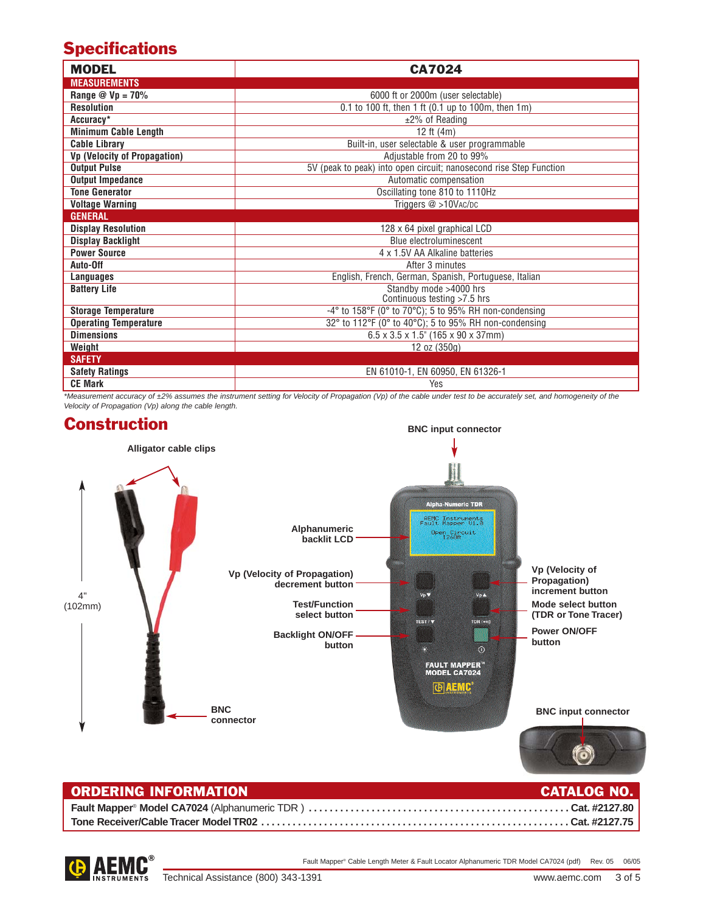## **Specifications**

| <b>MODEL</b>                 | <b>CA7024</b>                                                      |
|------------------------------|--------------------------------------------------------------------|
| <b>MEASUREMENTS</b>          |                                                                    |
| Range $@$ Vp = 70%           | 6000 ft or 2000m (user selectable)                                 |
| <b>Resolution</b>            | 0.1 to 100 ft, then 1 ft (0.1 up to 100m, then 1m)                 |
| Accuracy*                    | $±2\%$ of Reading                                                  |
| <b>Minimum Cable Length</b>  | 12 ft (4m)                                                         |
| <b>Cable Library</b>         | Built-in, user selectable & user programmable                      |
| Vp (Velocity of Propagation) | Adjustable from 20 to 99%                                          |
| <b>Output Pulse</b>          | 5V (peak to peak) into open circuit; nanosecond rise Step Function |
| <b>Output Impedance</b>      | Automatic compensation                                             |
| <b>Tone Generator</b>        | Oscillating tone 810 to 1110Hz                                     |
| <b>Voltage Warning</b>       | Triggers @ >10VAC/DC                                               |
| <b>GENERAL</b>               |                                                                    |
| <b>Display Resolution</b>    | 128 x 64 pixel graphical LCD                                       |
| <b>Display Backlight</b>     | Blue electroluminescent                                            |
| <b>Power Source</b>          | 4 x 1.5V AA Alkaline batteries                                     |
| Auto-Off                     | After 3 minutes                                                    |
| Languages                    | English, French, German, Spanish, Portuguese, Italian              |
| <b>Battery Life</b>          | Standby mode >4000 hrs                                             |
|                              | Continuous testing >7.5 hrs                                        |
| <b>Storage Temperature</b>   | -4° to 158°F (0° to 70°C); 5 to 95% RH non-condensing              |
| <b>Operating Temperature</b> | 32° to 112°F (0° to 40°C); 5 to 95% RH non-condensing              |
| <b>Dimensions</b>            | $6.5 \times 3.5 \times 1.5$ " (165 x 90 x 37mm)                    |
| Weight                       | 12 oz (350g)                                                       |
| <b>SAFETY</b>                |                                                                    |
| <b>Safety Ratings</b>        | EN 61010-1, EN 60950, EN 61326-1                                   |
| <b>CE Mark</b>               | Yes                                                                |

\*Measurement accuracy of ±2% assumes the instrument setting for Velocity of Propagation (Vp) of the cable under test to be accurately set, and homogeneity of the Velocity of Propagation (Vp) along the cable length.



| <b>ORDERING INFORMATION</b> | <b>CATALOG NO.</b> |
|-----------------------------|--------------------|
|                             |                    |
|                             |                    |



Fault Mapper® Cable Length Meter & Fault Locator Alphanumeric TDR Model CA7024 (pdf) Rev. 05 06/05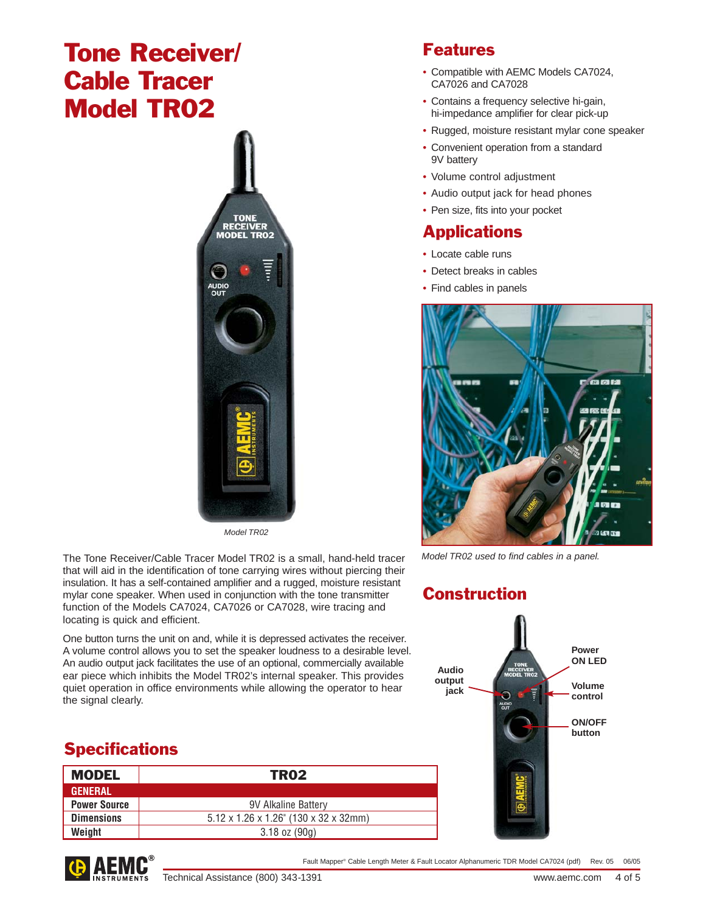# Tone Receiver/ Cable Tracer Model TR02



Model TR02

The Tone Receiver/Cable Tracer Model TR02 is a small, hand-held tracer that will aid in the identification of tone carrying wires without piercing their insulation. It has a self-contained amplifier and a rugged, moisture resistant mylar cone speaker. When used in conjunction with the tone transmitter function of the Models CA7024, CA7026 or CA7028, wire tracing and locating is quick and efficient.

One button turns the unit on and, while it is depressed activates the receiver. A volume control allows you to set the speaker loudness to a desirable level. An audio output jack facilitates the use of an optional, commercially available ear piece which inhibits the Model TR02's internal speaker. This provides quiet operation in office environments while allowing the operator to hear the signal clearly.

### **Specifications**

| <b>MODEL</b>        | TR <sub>02</sub>                                   |
|---------------------|----------------------------------------------------|
| <b>GENERAL</b>      |                                                    |
| <b>Power Source</b> | 9V Alkaline Battery                                |
| <b>Dimensions</b>   | $5.12 \times 1.26 \times 1.26$ " (130 x 32 x 32mm) |
| Weight              | $3.18$ oz $(90q)$                                  |





- Compatible with AEMC Models CA7024, CA7026 and CA7028
- Contains a frequency selective hi-gain, hi-impedance amplifier for clear pick-up
- Rugged, moisture resistant mylar cone speaker
- Convenient operation from a standard 9V battery
- Volume control adjustment
- Audio output jack for head phones
- Pen size, fits into your pocket

### **Applications**

- Locate cable runs
- Detect breaks in cables
- Find cables in panels



Model TR02 used to find cables in a panel.

### **Construction**



Fault Mapper® Cable Length Meter & Fault Locator Alphanumeric TDR Model CA7024 (pdf) Rev. 05 06/05